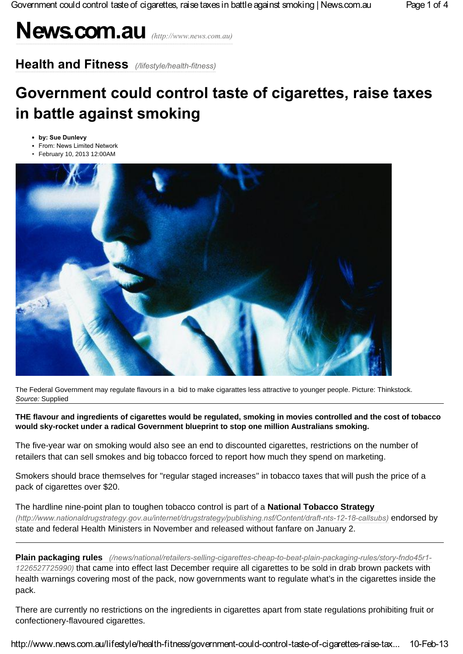# **News.com.au** *(http://www.news.com.au)*

**Health and Fitness** *(/lifestyle/health-fitness)*

## **Government could control taste of cigarettes, raise taxes in battle against smoking**

- **by: Sue Dunlevy**
- **\*** From: News Limited Network
- February 10, 2013 12:00AM



The Federal Government may regulate flavours in a bid to make cigarattes less attractive to younger people. Picture: Thinkstock. *Source:* Supplied

**THE flavour and ingredients of cigarettes would be regulated, smoking in movies controlled and the cost of tobacco would sky-rocket under a radical Government blueprint to stop one million Australians smoking.**

The five-year war on smoking would also see an end to discounted cigarettes, restrictions on the number of retailers that can sell smokes and big tobacco forced to report how much they spend on marketing.

Smokers should brace themselves for "regular staged increases'' in tobacco taxes that will push the price of a pack of cigarettes over \$20.

The hardline nine-point plan to toughen tobacco control is part of a **National Tobacco Strategy** *(http://www.nationaldrugstrategy.gov.au/internet/drugstrategy/publishing.nsf/Content/draft-nts-12-18-callsubs)* endorsed by state and federal Health Ministers in November and released without fanfare on January 2.

**Plain packaging rules** *(/news/national/retailers-selling-cigarettes-cheap-to-beat-plain-packaging-rules/story-fndo45r1- 1226527725990)* that came into effect last December require all cigarettes to be sold in drab brown packets with health warnings covering most of the pack, now governments want to regulate what's in the cigarettes inside the pack.

There are currently no restrictions on the ingredients in cigarettes apart from state regulations prohibiting fruit or confectionery-flavoured cigarettes.

http://www.news.com.au/lifestyle/health-fitness/government-could-control-taste-of-cigarettes-raise-tax... 10-Feb-13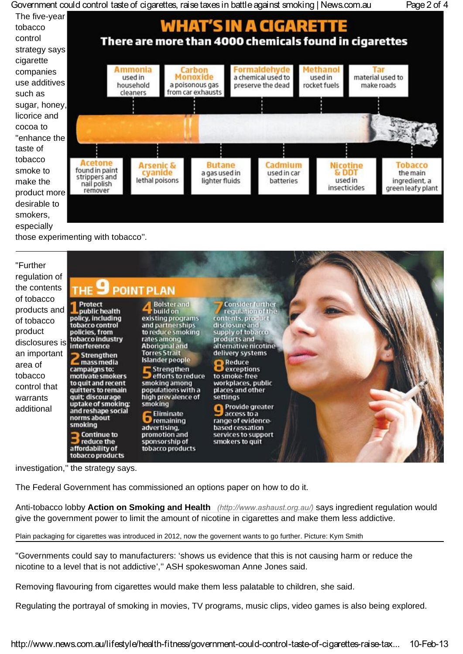Government could control taste of cigarettes, raise taxes in battle against smoking | News.com.au Page 2 of 4



those experimenting with tobacco''.

| "Further<br>regulation of<br>the contents                                                                                                             | THE 9 POINT PLAN                                                                                                                                                                                                                                                                                                                                                                                                   |                                                                                                                                                                                                                                                                                                                                                                                                                            |                                                                                                                                                                                                                                                                                                                                                                                                                 |  |
|-------------------------------------------------------------------------------------------------------------------------------------------------------|--------------------------------------------------------------------------------------------------------------------------------------------------------------------------------------------------------------------------------------------------------------------------------------------------------------------------------------------------------------------------------------------------------------------|----------------------------------------------------------------------------------------------------------------------------------------------------------------------------------------------------------------------------------------------------------------------------------------------------------------------------------------------------------------------------------------------------------------------------|-----------------------------------------------------------------------------------------------------------------------------------------------------------------------------------------------------------------------------------------------------------------------------------------------------------------------------------------------------------------------------------------------------------------|--|
| of tobacco<br>products and<br>of tobacco<br>product<br>disclosures is<br>an important<br>area of<br>tobacco<br>control that<br>warrants<br>additional | Protect<br>L public health<br>policy, including<br>tobacco control<br>policies, from<br>tobacco industry<br>interference<br>Strengthen<br>mass media<br>campaigns to:<br>motivate smokers<br>to quit and recent<br>quitters to remain<br>quit; discourage<br>uptake of smoking:<br>and reshape social<br>norms about<br>smoking<br><b>Continue</b> to<br>$\Box$ reduce the<br>affordability of<br>tobacco products | <b>Bolster</b> and<br>build on<br>existing programs<br>and partnerships<br>to reduce smoking<br>rates among<br><b>Aboriginal and</b><br><b>Torres Strait</b><br>Islander people<br>$\blacksquare$ Strengthen<br>efforts to reduce<br>smoking among<br>populations with a<br>high prevalence of<br>smoking<br><b>Eliminate</b><br><b>D</b> remaining<br>advertising,<br>promotion and<br>sponsorship of<br>tobacco products | <b>Consider further</b><br>requiation of the<br>contents, product<br>disclosure and<br>supply of tobacco<br>products and<br>alternative nicotine<br>delivery systems<br><b>Reduce</b><br><b>O</b> exceptions<br>to smoke-free<br>workplaces, public<br>places and other<br>settings<br>Provide greater<br>$\Box$ access to a<br>range of evidence-<br>based cessation<br>services to support<br>smokers to quit |  |

investigation,'' the strategy says.

The Federal Government has commissioned an options paper on how to do it.

Anti-tobacco lobby **Action on Smoking and Health** *(http://www.ashaust.org.au/)* says ingredient regulation would give the government power to limit the amount of nicotine in cigarettes and make them less addictive.

Plain packaging for cigarettes was introduced in 2012, now the governent wants to go further. Picture: Kym Smith

"Governments could say to manufacturers: 'shows us evidence that this is not causing harm or reduce the nicotine to a level that is not addictive','' ASH spokeswoman Anne Jones said.

Removing flavouring from cigarettes would make them less palatable to children, she said.

Regulating the portrayal of smoking in movies, TV programs, music clips, video games is also being explored.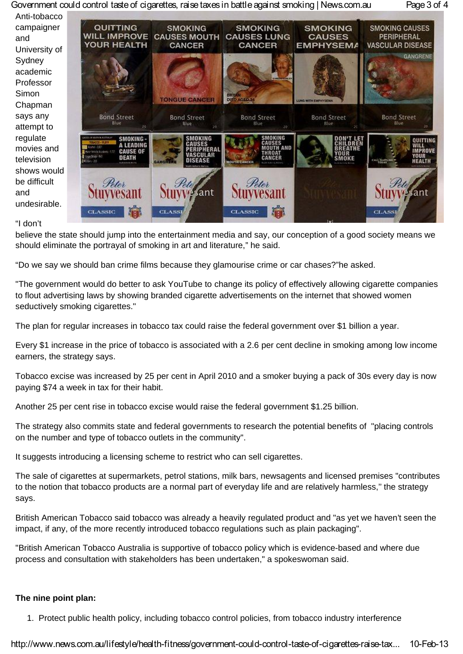Government could control taste of cigarettes, raise taxes in battle against smoking | News.com.au Page 3 of 4



#### "I don't

believe the state should jump into the entertainment media and say, our conception of a good society means we should eliminate the portrayal of smoking in art and literature," he said.

"Do we say we should ban crime films because they glamourise crime or car chases?"he asked.

"The government would do better to ask YouTube to change its policy of effectively allowing cigarette companies to flout advertising laws by showing branded cigarette advertisements on the internet that showed women seductively smoking cigarettes."

The plan for regular increases in tobacco tax could raise the federal government over \$1 billion a year.

Every \$1 increase in the price of tobacco is associated with a 2.6 per cent decline in smoking among low income earners, the strategy says.

Tobacco excise was increased by 25 per cent in April 2010 and a smoker buying a pack of 30s every day is now paying \$74 a week in tax for their habit.

Another 25 per cent rise in tobacco excise would raise the federal government \$1.25 billion.

The strategy also commits state and federal governments to research the potential benefits of "placing controls on the number and type of tobacco outlets in the community".

It suggests introducing a licensing scheme to restrict who can sell cigarettes.

The sale of cigarettes at supermarkets, petrol stations, milk bars, newsagents and licensed premises "contributes to the notion that tobacco products are a normal part of everyday life and are relatively harmless,'' the strategy says.

British American Tobacco said tobacco was already a heavily regulated product and "as yet we haven't seen the impact, if any, of the more recently introduced tobacco regulations such as plain packaging".

"British American Tobacco Australia is supportive of tobacco policy which is evidence-based and where due process and consultation with stakeholders has been undertaken," a spokeswoman said.

### **The nine point plan:**

1. Protect public health policy, including tobacco control policies, from tobacco industry interference